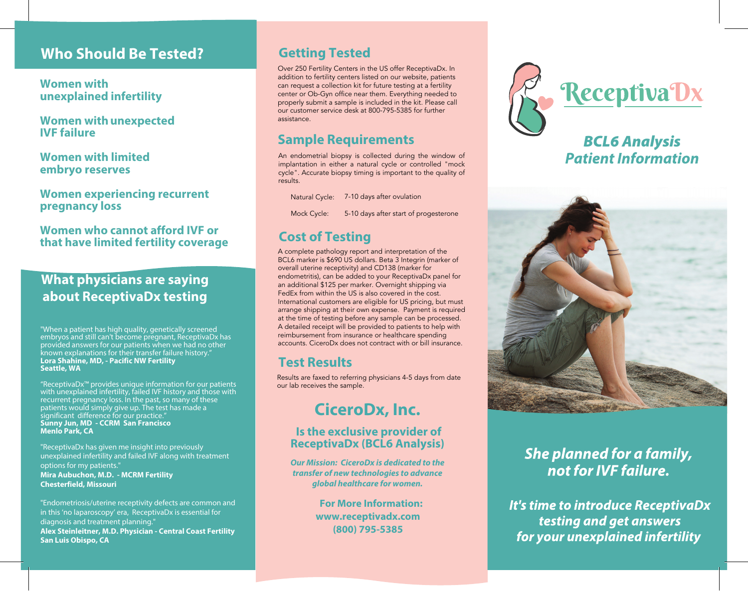## **Who Should Be Tested?**

**Women with unexplained infertility**

**Women with unexpected IVF failure**

**Women with limited embryo reserves**

**Women experiencing recurrent pregnancy loss**

**Women who cannot afford IVF or that have limited fertility coverage**

### **What physicians are saying about ReceptivaDx testing**

"When a patient has high quality, genetically screened embryos and still can't become pregnant, ReceptivaDx has provided answers for our patients when we had no other known explanations for their transfer failure history." **Lora Shahine, MD, - Pacific NW Fertility Seattle, WA**

"ReceptivaDx™ provides unique information for our patients with unexplained infertility, failed IVF history and those with recurrent pregnancy loss. In the past, so many of these patients would simply give up. The test has made a significant difference for our practice." **Sunny Jun, MD - CCRM San Francisco Menlo Park, CA** 

"ReceptivaDx has given me insight into previously unexplained infertility and failed IVF along with treatment options for my patients." **Mira Aubuchon, M.D. - MCRM Fertility Chesterfield, Missouri**

"Endometriosis/uterine receptivity defects are common and in this 'no laparoscopy' era, ReceptivaDx is essential for diagnosis and treatment planning." **Alex Steinleitner, M.D. Physician - Central Coast Fertility San Luis Obispo, CA**

#### **Getting Tested**

Over 250 Fertility Centers in the US offer ReceptivaDx. In addition to fertility centers listed on our website, patients can request a collection kit for future testing at a fertility center or Ob-Gyn office near them. Everything needed to properly submit a sample is included in the kit. Please call our customer service desk at 800-795-5385 for further assistance.

#### **Sample Requirements**

An endometrial biopsy is collected during the window of implantation in either a natural cycle or controlled "mock cycle". Accurate biopsy timing is important to the quality of results.

Natural Cycle: 7-10 days after ovulation

Mock Cycle: 5-10 days after start of progesterone

#### **Cost of Testing**

A complete pathology report and interpretation of the BCL6 marker is \$690 US dollars. Beta 3 Integrin (marker of overall uterine receptivity ) and CD138 (marker for endometritis ), can be added to your ReceptivaDx panel for an additional \$125 per marker. Overnight shipping via FedEx from within the US is also covered in the cost. International customers are eligible for US pricing, but must arrange shipping at their own expense. Payment is required at the time of testing before any sample can be processed. A detailed receipt will be provided to patients to help with reimbursement from insurance or healthcare spending account s . CiceroDx does not contract with or bill insurance .

### **Test Results**

Results are faxed to referring physicians 4-5 days from date our lab receives the sample.

# **CiceroDx, Inc.**

#### **Is the exclusive provider of ReceptivaDx (BCL6 Analysis)**

**Our Mission: CiceroDx is dedicated to the transfer of new technologies to advance global healthcare for women.** 

> **For More Information: www.receptivadx.com (800) 795-5385**



## *BCL6 Analysis* **Patient Information**



# She planned for a family, not for IVF failure.

It's time to introduce ReceptivaDx testing and get answers for your unexplained infertility